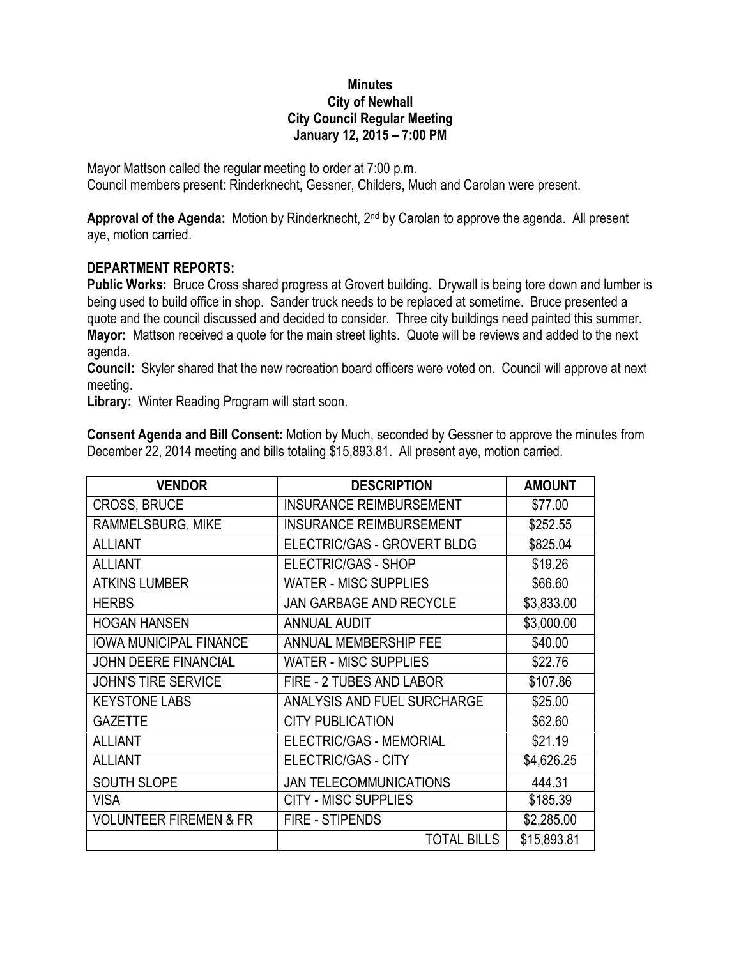## **Minutes City of Newhall City Council Regular Meeting January 12, 2015 – 7:00 PM**

Mayor Mattson called the regular meeting to order at 7:00 p.m. Council members present: Rinderknecht, Gessner, Childers, Much and Carolan were present.

**Approval of the Agenda:** Motion by Rinderknecht, 2nd by Carolan to approve the agenda. All present aye, motion carried.

## **DEPARTMENT REPORTS:**

**Public Works:** Bruce Cross shared progress at Grovert building. Drywall is being tore down and lumber is being used to build office in shop. Sander truck needs to be replaced at sometime. Bruce presented a quote and the council discussed and decided to consider. Three city buildings need painted this summer. **Mayor:** Mattson received a quote for the main street lights. Quote will be reviews and added to the next agenda.

**Council:** Skyler shared that the new recreation board officers were voted on. Council will approve at next meeting.

**Library:** Winter Reading Program will start soon.

**Consent Agenda and Bill Consent:** Motion by Much, seconded by Gessner to approve the minutes from December 22, 2014 meeting and bills totaling \$15,893.81. All present aye, motion carried.

| <b>VENDOR</b>                     | <b>DESCRIPTION</b>             | <b>AMOUNT</b> |
|-----------------------------------|--------------------------------|---------------|
| <b>CROSS, BRUCE</b>               | <b>INSURANCE REIMBURSEMENT</b> | \$77.00       |
| RAMMELSBURG, MIKE                 | <b>INSURANCE REIMBURSEMENT</b> | \$252.55      |
| <b>ALLIANT</b>                    | ELECTRIC/GAS - GROVERT BLDG    | \$825.04      |
| <b>ALLIANT</b>                    | <b>ELECTRIC/GAS - SHOP</b>     | \$19.26       |
| <b>ATKINS LUMBER</b>              | <b>WATER - MISC SUPPLIES</b>   | \$66.60       |
| <b>HERBS</b>                      | <b>JAN GARBAGE AND RECYCLE</b> | \$3,833.00    |
| <b>HOGAN HANSEN</b>               | <b>ANNUAL AUDIT</b>            | \$3,000.00    |
| <b>IOWA MUNICIPAL FINANCE</b>     | ANNUAL MEMBERSHIP FEE          | \$40.00       |
| <b>JOHN DEERE FINANCIAL</b>       | <b>WATER - MISC SUPPLIES</b>   | \$22.76       |
| <b>JOHN'S TIRE SERVICE</b>        | FIRE - 2 TUBES AND LABOR       | \$107.86      |
| <b>KEYSTONE LABS</b>              | ANALYSIS AND FUEL SURCHARGE    | \$25.00       |
| <b>GAZETTE</b>                    | <b>CITY PUBLICATION</b>        | \$62.60       |
| <b>ALLIANT</b>                    | ELECTRIC/GAS - MEMORIAL        | \$21.19       |
| <b>ALLIANT</b>                    | <b>ELECTRIC/GAS - CITY</b>     | \$4,626.25    |
| <b>SOUTH SLOPE</b>                | <b>JAN TELECOMMUNICATIONS</b>  | 444.31        |
| <b>VISA</b>                       | <b>CITY - MISC SUPPLIES</b>    | \$185.39      |
| <b>VOLUNTEER FIREMEN &amp; FR</b> | <b>FIRE - STIPENDS</b>         | \$2,285.00    |
|                                   | <b>TOTAL BILLS</b>             | \$15,893.81   |